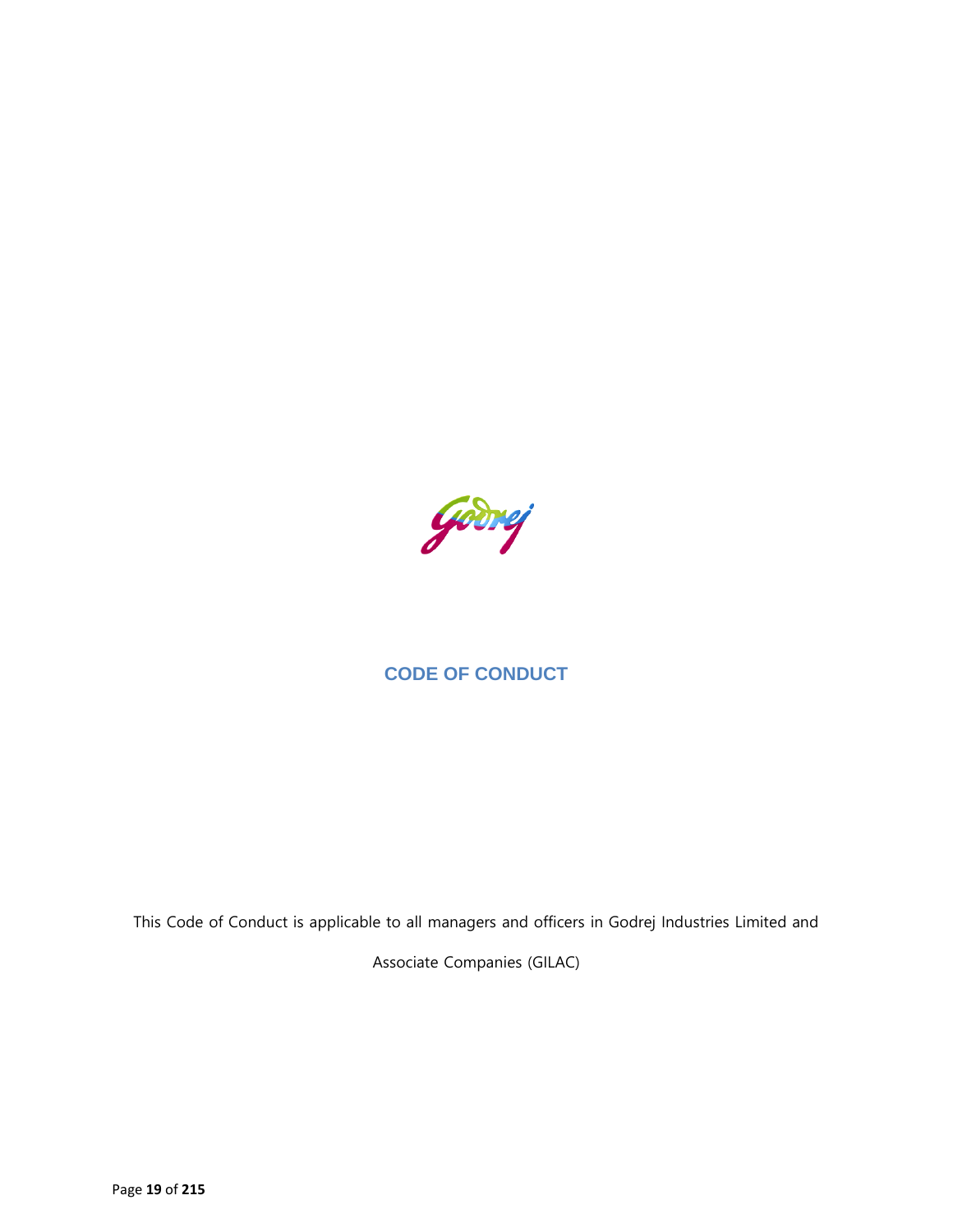

# **CODE OF CONDUCT**

This Code of Conduct is applicable to all managers and officers in Godrej Industries Limited and

Associate Companies (GILAC)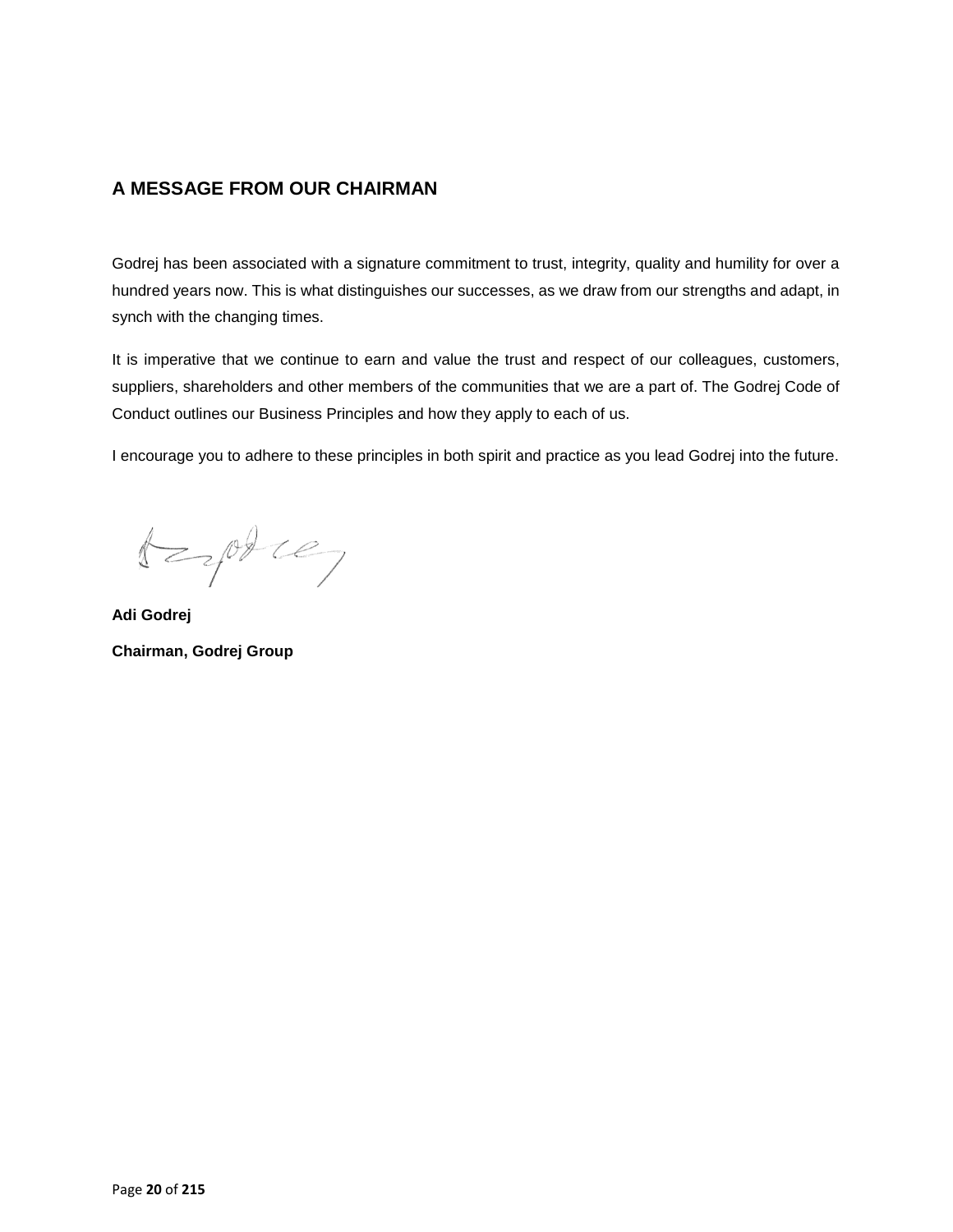# **A MESSAGE FROM OUR CHAIRMAN**

Godrej has been associated with a signature commitment to trust, integrity, quality and humility for over a hundred years now. This is what distinguishes our successes, as we draw from our strengths and adapt, in synch with the changing times.

It is imperative that we continue to earn and value the trust and respect of our colleagues, customers, suppliers, shareholders and other members of the communities that we are a part of. The Godrej Code of Conduct outlines our Business Principles and how they apply to each of us.

I encourage you to adhere to these principles in both spirit and practice as you lead Godrej into the future.

 $t = \rho \theta$ 

**Adi Godrej Chairman, Godrej Group**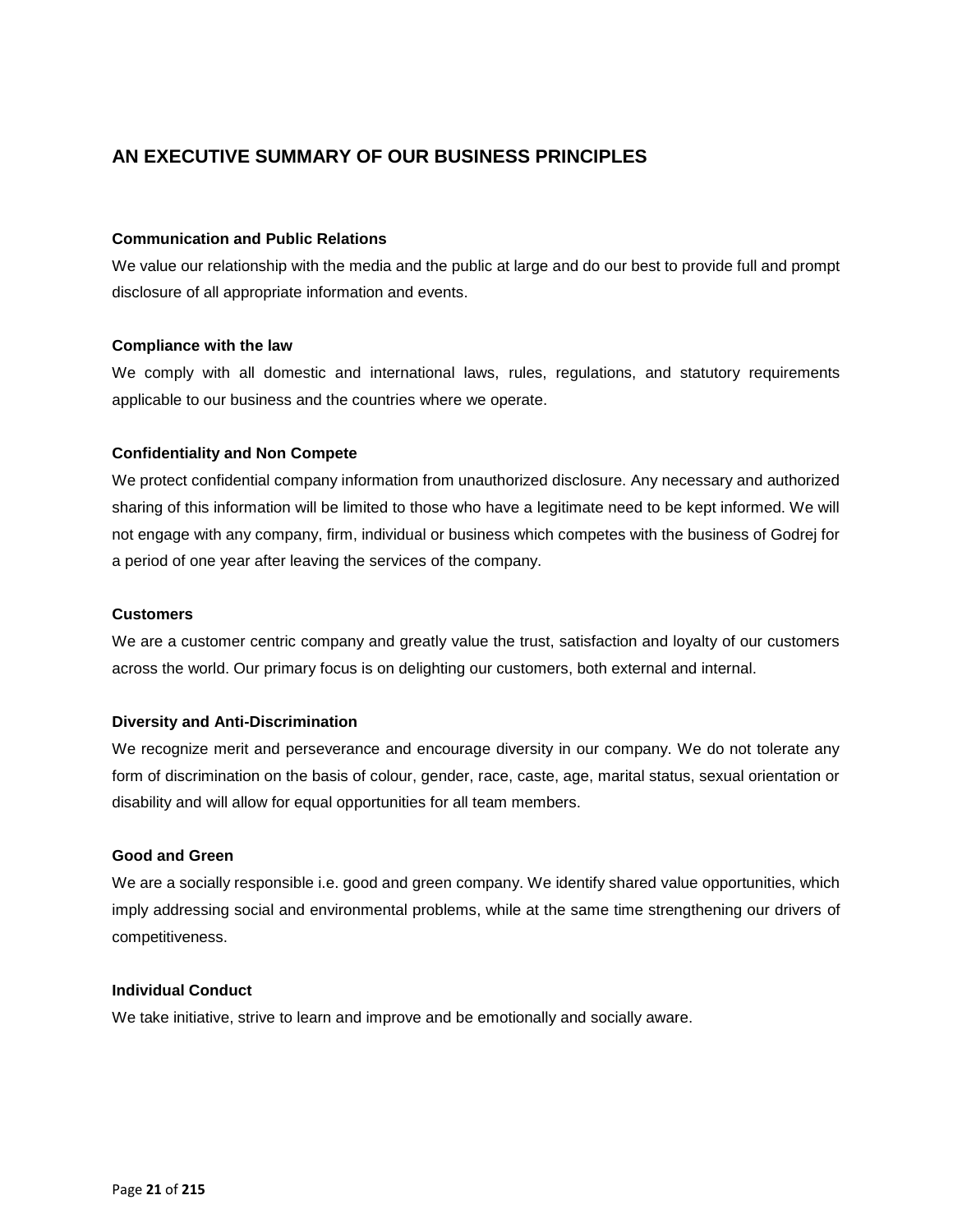# **AN EXECUTIVE SUMMARY OF OUR BUSINESS PRINCIPLES**

### **Communication and Public Relations**

We value our relationship with the media and the public at large and do our best to provide full and prompt disclosure of all appropriate information and events.

#### **Compliance with the law**

We comply with all domestic and international laws, rules, regulations, and statutory requirements applicable to our business and the countries where we operate.

### **Confidentiality and Non Compete**

We protect confidential company information from unauthorized disclosure. Any necessary and authorized sharing of this information will be limited to those who have a legitimate need to be kept informed. We will not engage with any company, firm, individual or business which competes with the business of Godrej for a period of one year after leaving the services of the company.

#### **Customers**

We are a customer centric company and greatly value the trust, satisfaction and loyalty of our customers across the world. Our primary focus is on delighting our customers, both external and internal.

#### **Diversity and Anti-Discrimination**

We recognize merit and perseverance and encourage diversity in our company. We do not tolerate any form of discrimination on the basis of colour, gender, race, caste, age, marital status, sexual orientation or disability and will allow for equal opportunities for all team members.

### **Good and Green**

We are a socially responsible i.e. good and green company. We identify shared value opportunities, which imply addressing social and environmental problems, while at the same time strengthening our drivers of competitiveness.

### **Individual Conduct**

We take initiative, strive to learn and improve and be emotionally and socially aware.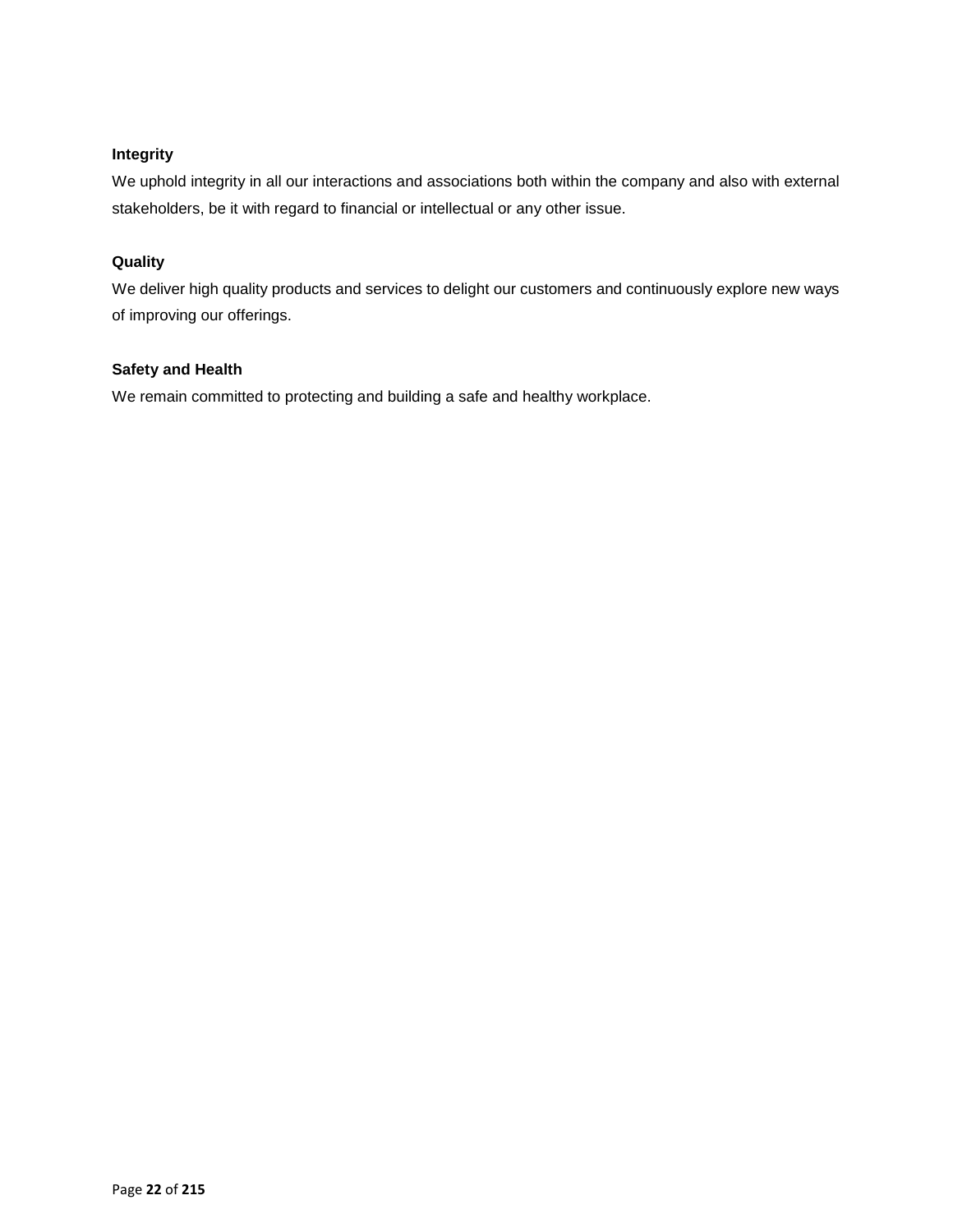# **Integrity**

We uphold integrity in all our interactions and associations both within the company and also with external stakeholders, be it with regard to financial or intellectual or any other issue.

# **Quality**

We deliver high quality products and services to delight our customers and continuously explore new ways of improving our offerings.

# **Safety and Health**

We remain committed to protecting and building a safe and healthy workplace.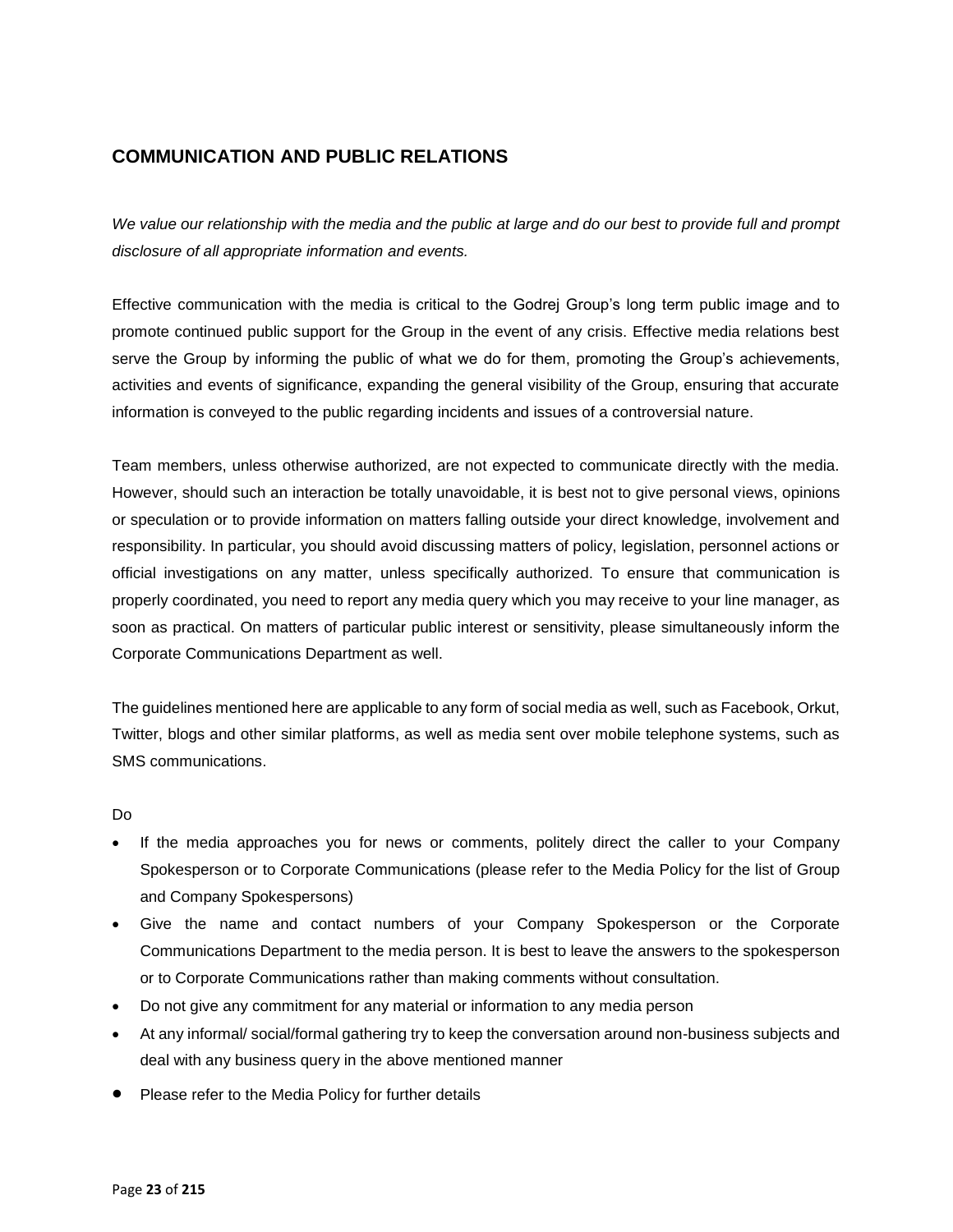# **COMMUNICATION AND PUBLIC RELATIONS**

*We value our relationship with the media and the public at large and do our best to provide full and prompt disclosure of all appropriate information and events.*

Effective communication with the media is critical to the Godrej Group's long term public image and to promote continued public support for the Group in the event of any crisis. Effective media relations best serve the Group by informing the public of what we do for them, promoting the Group's achievements, activities and events of significance, expanding the general visibility of the Group, ensuring that accurate information is conveyed to the public regarding incidents and issues of a controversial nature.

Team members, unless otherwise authorized, are not expected to communicate directly with the media. However, should such an interaction be totally unavoidable, it is best not to give personal views, opinions or speculation or to provide information on matters falling outside your direct knowledge, involvement and responsibility. In particular, you should avoid discussing matters of policy, legislation, personnel actions or official investigations on any matter, unless specifically authorized. To ensure that communication is properly coordinated, you need to report any media query which you may receive to your line manager, as soon as practical. On matters of particular public interest or sensitivity, please simultaneously inform the Corporate Communications Department as well.

The guidelines mentioned here are applicable to any form of social media as well, such as Facebook, Orkut, Twitter, blogs and other similar platforms, as well as media sent over mobile telephone systems, such as SMS communications.

- If the media approaches you for news or comments, politely direct the caller to your Company Spokesperson or to Corporate Communications (please refer to the Media Policy for the list of Group and Company Spokespersons)
- Give the name and contact numbers of your Company Spokesperson or the Corporate Communications Department to the media person. It is best to leave the answers to the spokesperson or to Corporate Communications rather than making comments without consultation.
- Do not give any commitment for any material or information to any media person
- At any informal/ social/formal gathering try to keep the conversation around non-business subjects and deal with any business query in the above mentioned manner
- Please refer to the Media Policy for further details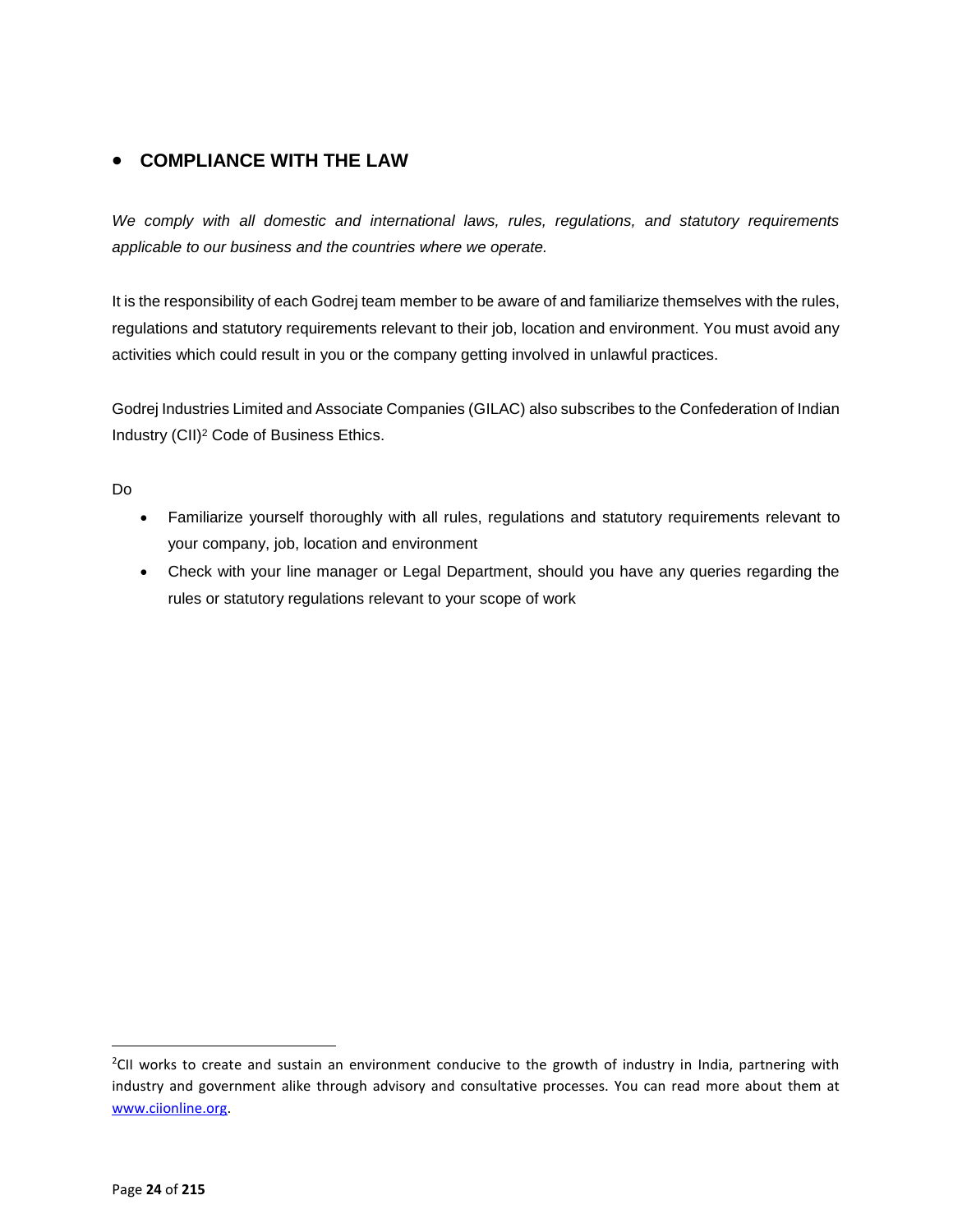# **COMPLIANCE WITH THE LAW**

*We comply with all domestic and international laws, rules, regulations, and statutory requirements applicable to our business and the countries where we operate.* 

It is the responsibility of each Godrej team member to be aware of and familiarize themselves with the rules, regulations and statutory requirements relevant to their job, location and environment. You must avoid any activities which could result in you or the company getting involved in unlawful practices.

Godrej Industries Limited and Associate Companies (GILAC) also subscribes to the Confederation of Indian Industry (CII)<sup>2</sup> Code of Business Ethics.

Do

- Familiarize yourself thoroughly with all rules, regulations and statutory requirements relevant to your company, job, location and environment
- Check with your line manager or Legal Department, should you have any queries regarding the rules or statutory regulations relevant to your scope of work

 $\overline{\phantom{a}}$ 

<sup>&</sup>lt;sup>2</sup>CII works to create and sustain an environment conducive to the growth of industry in India, partnering with industry and government alike through advisory and consultative processes. You can read more about them at [www.ciionline.org.](http://www.ciionline.org/)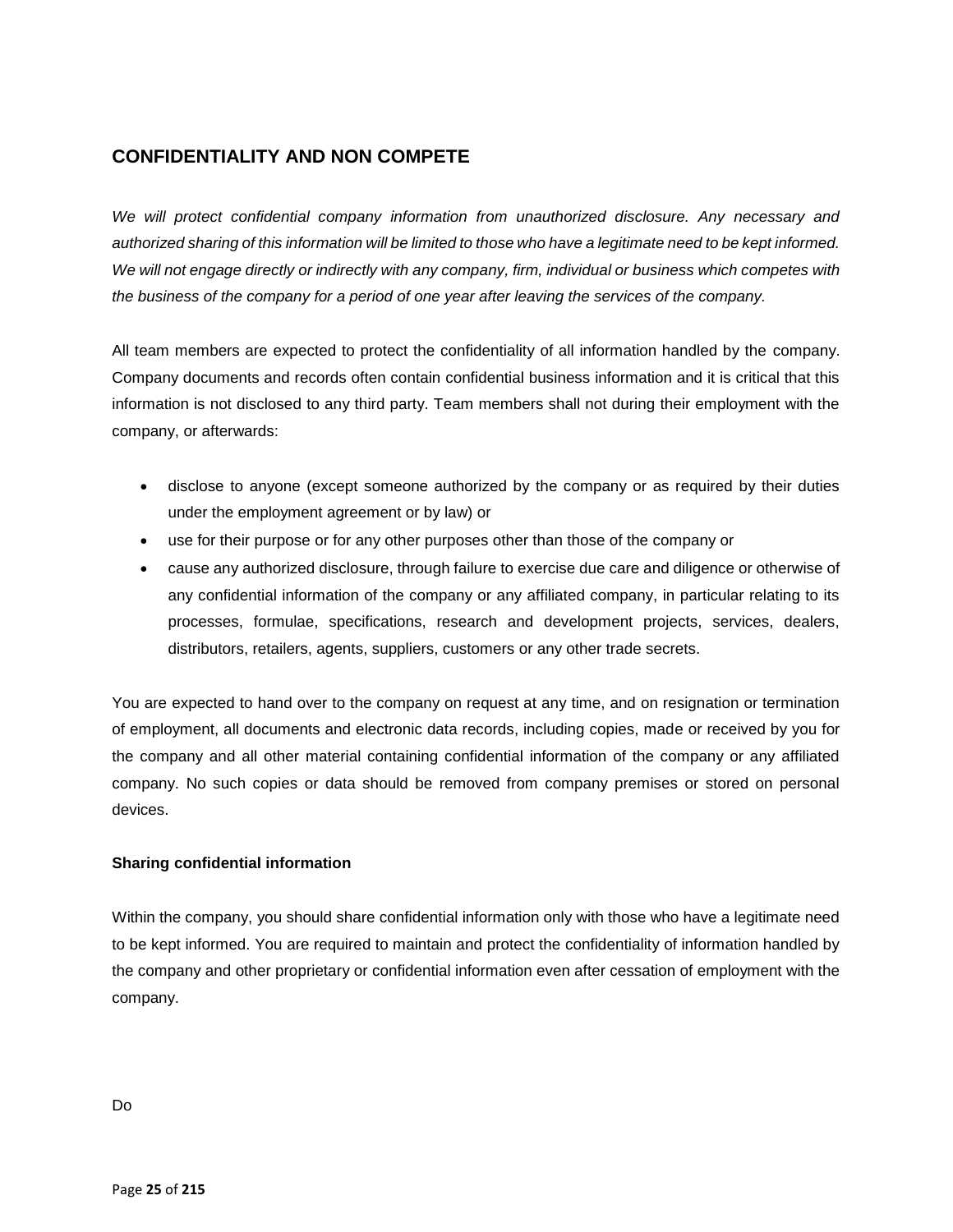# **CONFIDENTIALITY AND NON COMPETE**

*We will protect confidential company information from unauthorized disclosure. Any necessary and authorized sharing of this information will be limited to those who have a legitimate need to be kept informed. We will not engage directly or indirectly with any company, firm, individual or business which competes with the business of the company for a period of one year after leaving the services of the company.*

All team members are expected to protect the confidentiality of all information handled by the company. Company documents and records often contain confidential business information and it is critical that this information is not disclosed to any third party. Team members shall not during their employment with the company, or afterwards:

- disclose to anyone (except someone authorized by the company or as required by their duties under the employment agreement or by law) or
- use for their purpose or for any other purposes other than those of the company or
- cause any authorized disclosure, through failure to exercise due care and diligence or otherwise of any confidential information of the company or any affiliated company, in particular relating to its processes, formulae, specifications, research and development projects, services, dealers, distributors, retailers, agents, suppliers, customers or any other trade secrets.

You are expected to hand over to the company on request at any time, and on resignation or termination of employment, all documents and electronic data records, including copies, made or received by you for the company and all other material containing confidential information of the company or any affiliated company. No such copies or data should be removed from company premises or stored on personal devices.

## **Sharing confidential information**

Within the company, you should share confidential information only with those who have a legitimate need to be kept informed. You are required to maintain and protect the confidentiality of information handled by the company and other proprietary or confidential information even after cessation of employment with the company.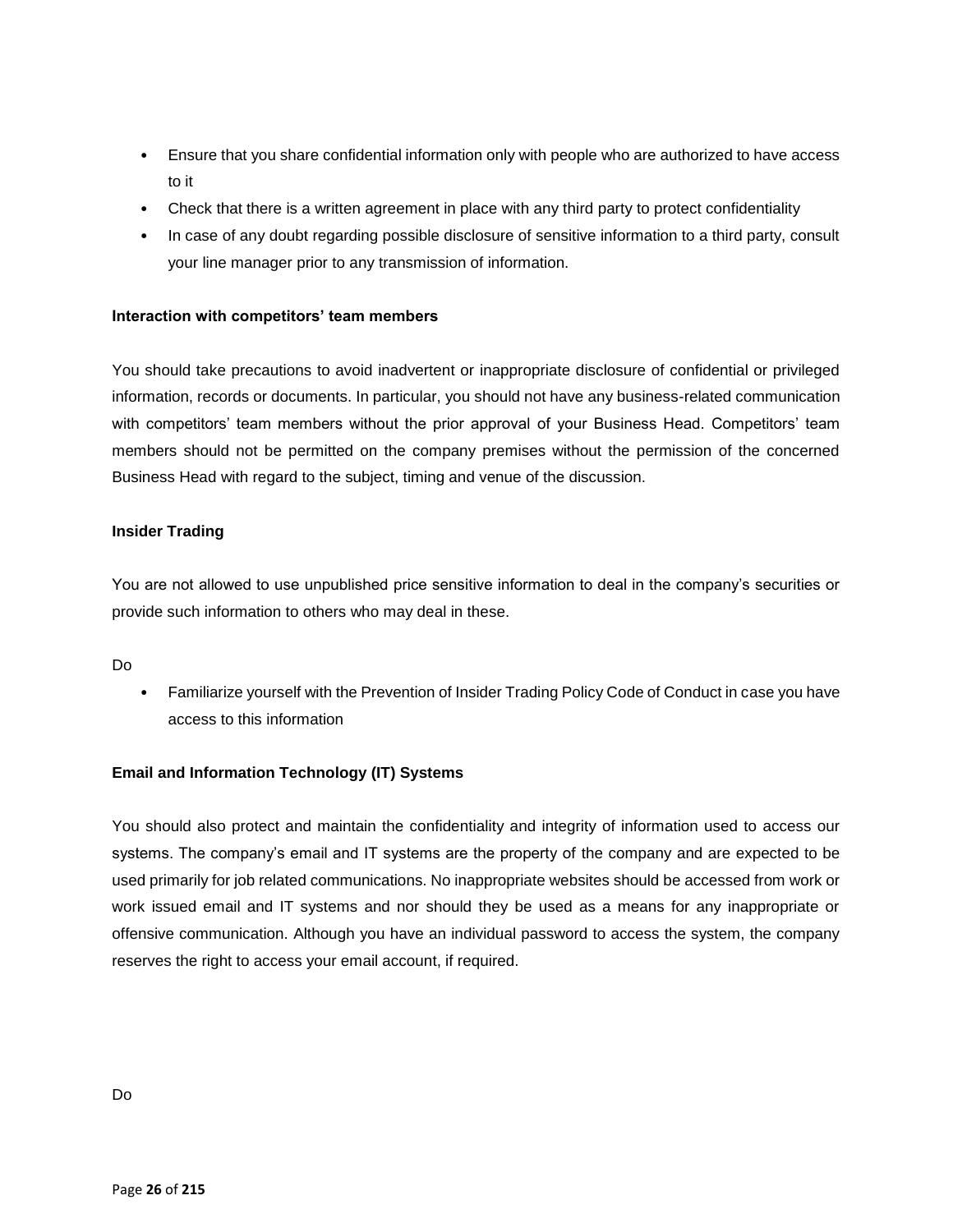- Ensure that you share confidential information only with people who are authorized to have access to it
- Check that there is a written agreement in place with any third party to protect confidentiality
- In case of any doubt regarding possible disclosure of sensitive information to a third party, consult your line manager prior to any transmission of information.

## **Interaction with competitors' team members**

You should take precautions to avoid inadvertent or inappropriate disclosure of confidential or privileged information, records or documents. In particular, you should not have any business-related communication with competitors' team members without the prior approval of your Business Head. Competitors' team members should not be permitted on the company premises without the permission of the concerned Business Head with regard to the subject, timing and venue of the discussion.

### **Insider Trading**

You are not allowed to use unpublished price sensitive information to deal in the company's securities or provide such information to others who may deal in these.

Do

• Familiarize yourself with the Prevention of Insider Trading Policy Code of Conduct in case you have access to this information

## **Email and Information Technology (IT) Systems**

You should also protect and maintain the confidentiality and integrity of information used to access our systems. The company's email and IT systems are the property of the company and are expected to be used primarily for job related communications. No inappropriate websites should be accessed from work or work issued email and IT systems and nor should they be used as a means for any inappropriate or offensive communication. Although you have an individual password to access the system, the company reserves the right to access your email account, if required.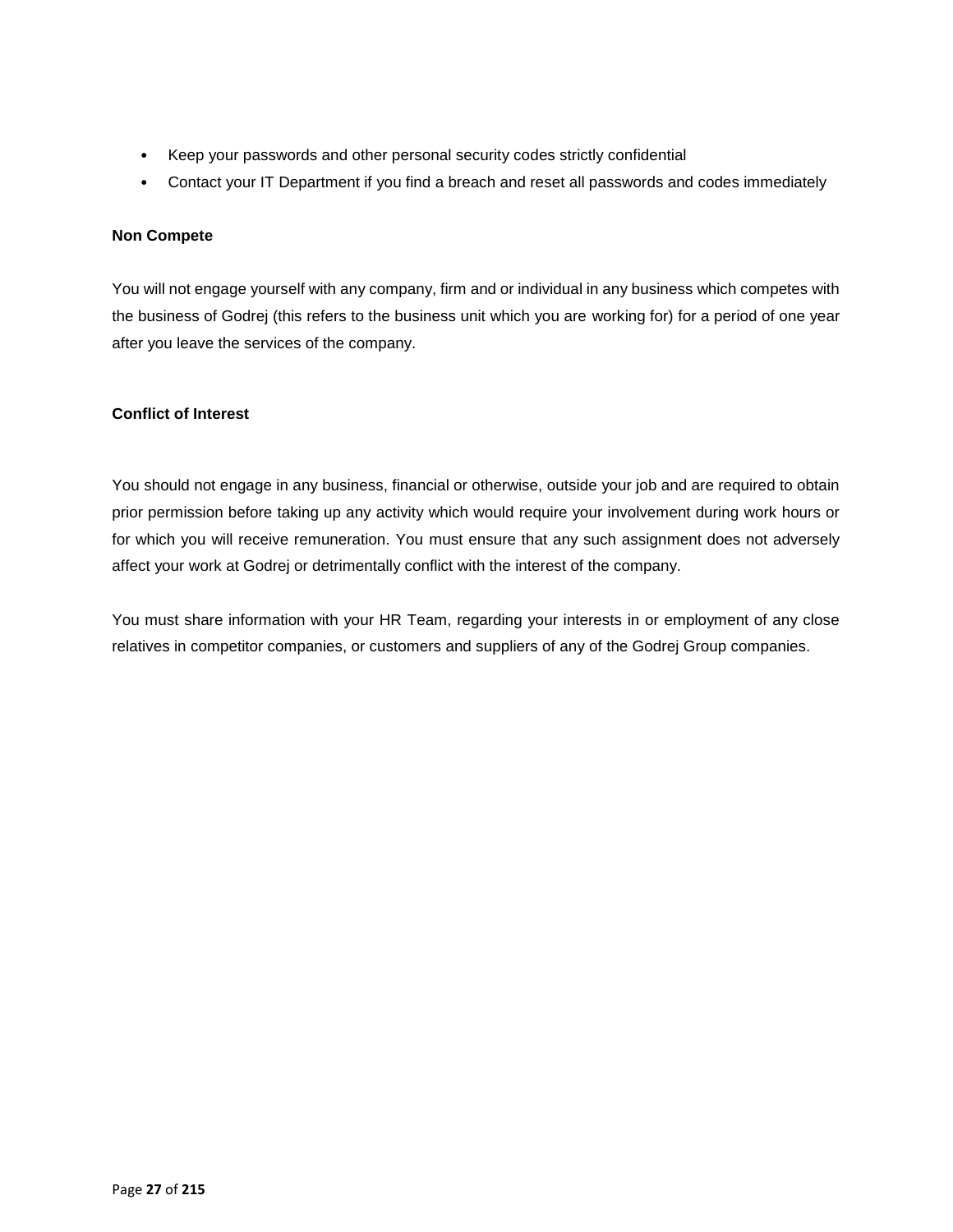- Keep your passwords and other personal security codes strictly confidential
- Contact your IT Department if you find a breach and reset all passwords and codes immediately

### **Non Compete**

You will not engage yourself with any company, firm and or individual in any business which competes with the business of Godrej (this refers to the business unit which you are working for) for a period of one year after you leave the services of the company.

### **Conflict of Interest**

You should not engage in any business, financial or otherwise, outside your job and are required to obtain prior permission before taking up any activity which would require your involvement during work hours or for which you will receive remuneration. You must ensure that any such assignment does not adversely affect your work at Godrej or detrimentally conflict with the interest of the company.

You must share information with your HR Team, regarding your interests in or employment of any close relatives in competitor companies, or customers and suppliers of any of the Godrej Group companies.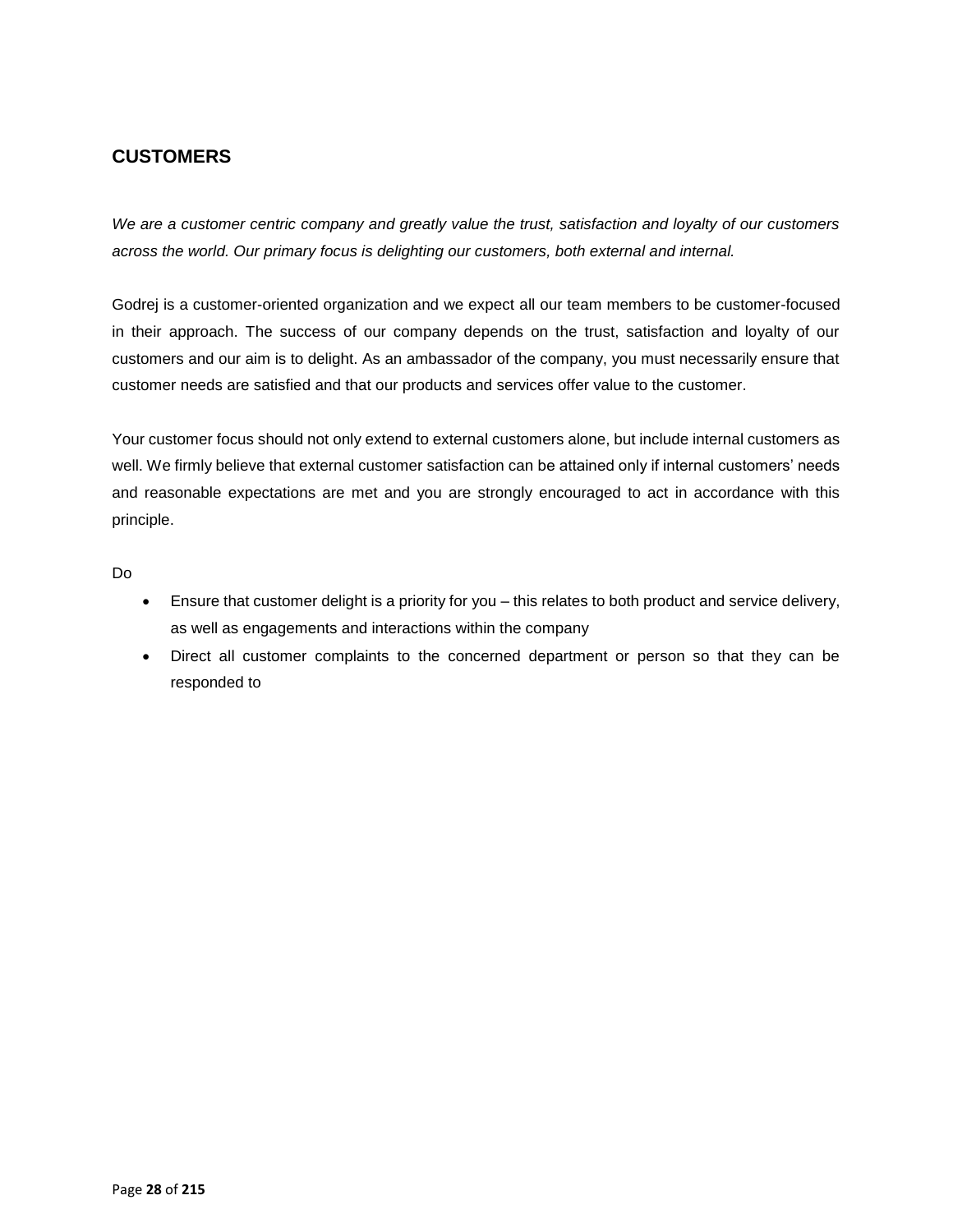# **CUSTOMERS**

*We are a customer centric company and greatly value the trust, satisfaction and loyalty of our customers across the world. Our primary focus is delighting our customers, both external and internal.* 

Godrej is a customer-oriented organization and we expect all our team members to be customer-focused in their approach. The success of our company depends on the trust, satisfaction and loyalty of our customers and our aim is to delight. As an ambassador of the company, you must necessarily ensure that customer needs are satisfied and that our products and services offer value to the customer.

Your customer focus should not only extend to external customers alone, but include internal customers as well. We firmly believe that external customer satisfaction can be attained only if internal customers' needs and reasonable expectations are met and you are strongly encouraged to act in accordance with this principle.

- Ensure that customer delight is a priority for you this relates to both product and service delivery, as well as engagements and interactions within the company
- Direct all customer complaints to the concerned department or person so that they can be responded to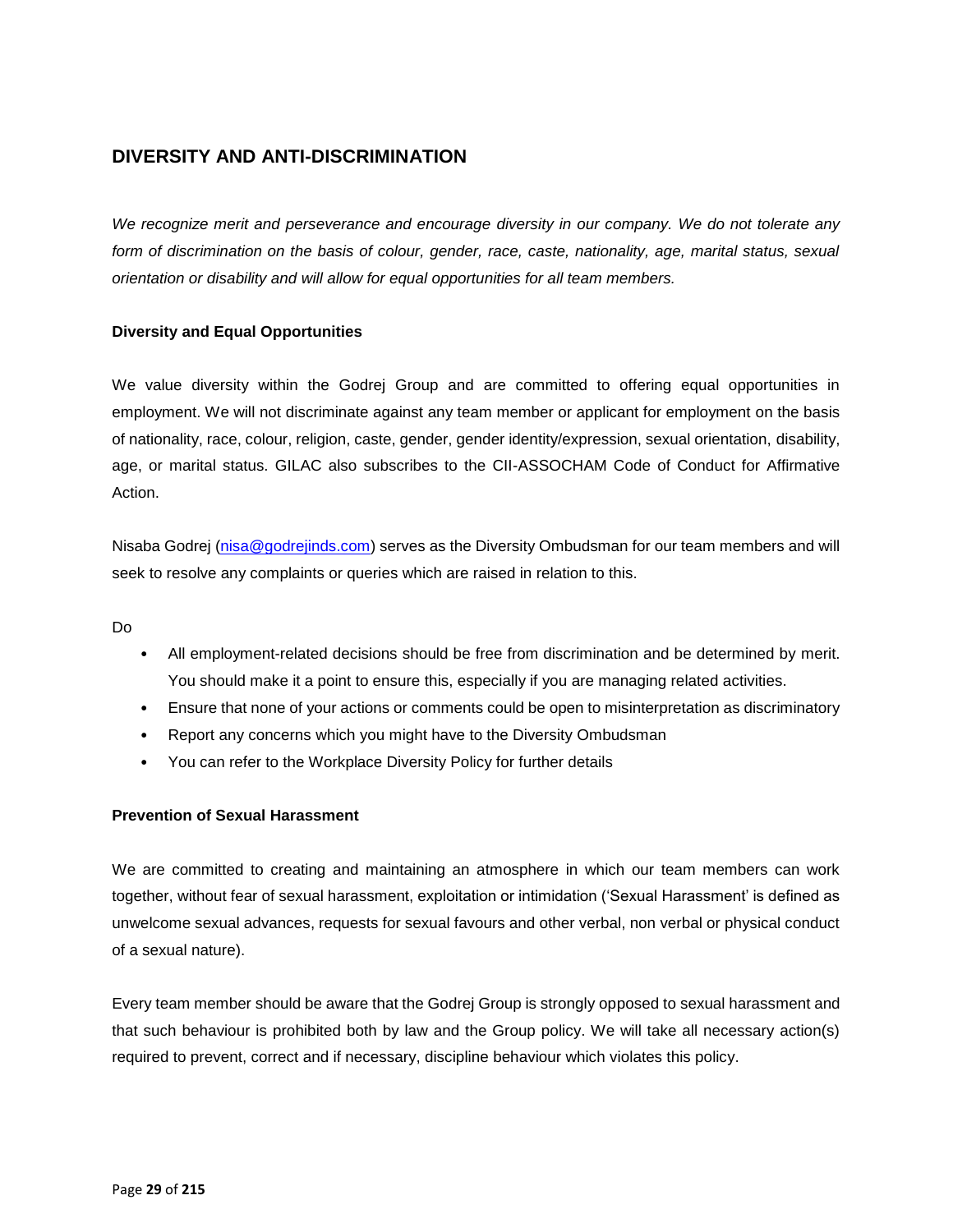# **DIVERSITY AND ANTI-DISCRIMINATION**

*We recognize merit and perseverance and encourage diversity in our company. We do not tolerate any form of discrimination on the basis of colour, gender, race, caste, nationality, age, marital status, sexual orientation or disability and will allow for equal opportunities for all team members.*

## **Diversity and Equal Opportunities**

We value diversity within the Godrej Group and are committed to offering equal opportunities in employment. We will not discriminate against any team member or applicant for employment on the basis of nationality, race, colour, religion, caste, gender, gender identity/expression, sexual orientation, disability, age, or marital status. GILAC also subscribes to the CII-ASSOCHAM Code of Conduct for Affirmative Action.

Nisaba Godrej [\(nisa@godrejinds.com\)](mailto:nisa@godrejinds.com) serves as the Diversity Ombudsman for our team members and will seek to resolve any complaints or queries which are raised in relation to this.

Do

- All employment-related decisions should be free from discrimination and be determined by merit. You should make it a point to ensure this, especially if you are managing related activities.
- Ensure that none of your actions or comments could be open to misinterpretation as discriminatory
- Report any concerns which you might have to the Diversity Ombudsman
- You can refer to the Workplace Diversity Policy for further details

## **Prevention of Sexual Harassment**

We are committed to creating and maintaining an atmosphere in which our team members can work together, without fear of sexual harassment, exploitation or intimidation ('Sexual Harassment' is defined as unwelcome sexual advances, requests for sexual favours and other verbal, non verbal or physical conduct of a sexual nature).

Every team member should be aware that the Godrej Group is strongly opposed to sexual harassment and that such behaviour is prohibited both by law and the Group policy. We will take all necessary action(s) required to prevent, correct and if necessary, discipline behaviour which violates this policy.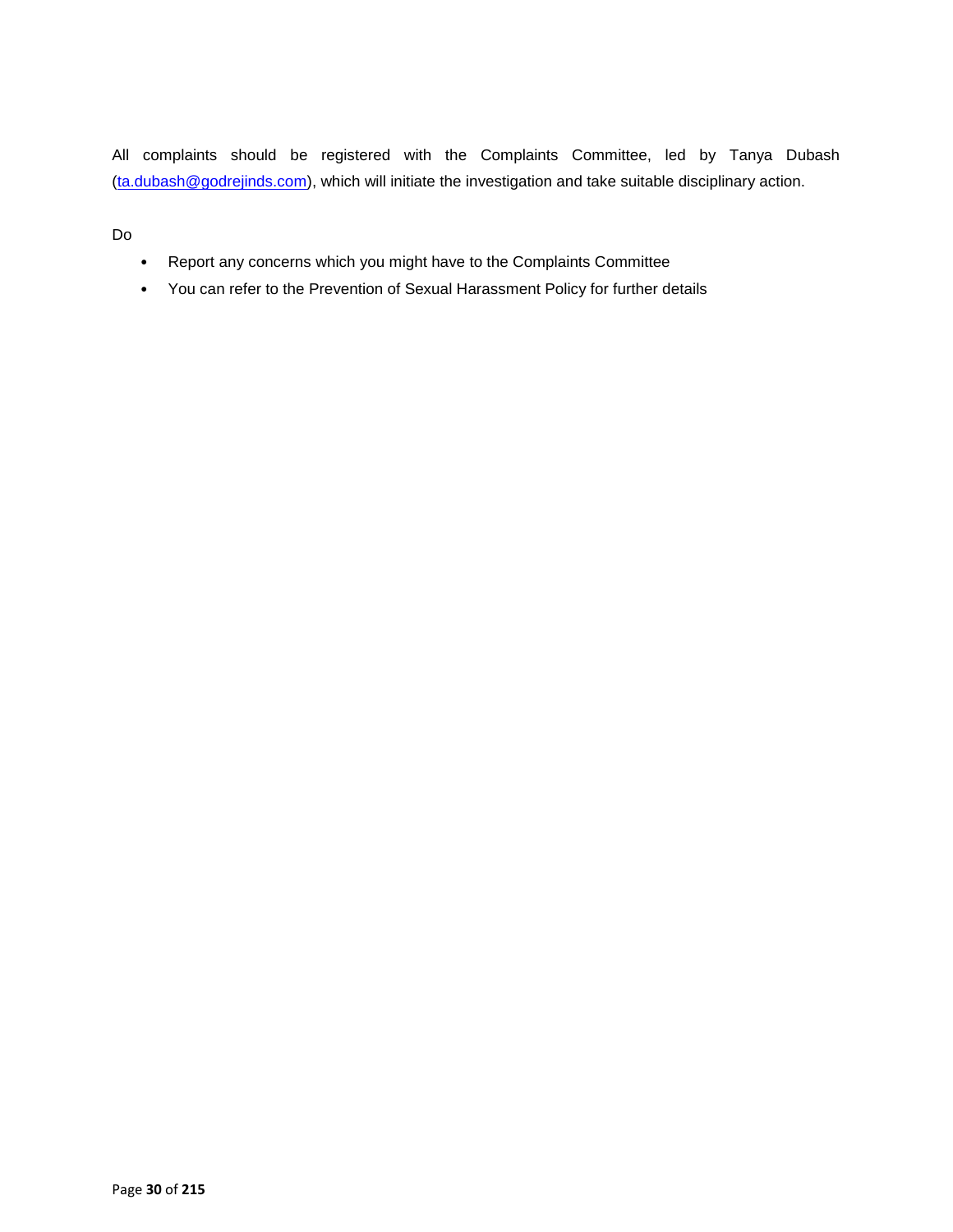All complaints should be registered with the Complaints Committee, led by Tanya Dubash [\(ta.dubash@godrejinds.com\)](mailto:ta.dubash@godrejinds.com), which will initiate the investigation and take suitable disciplinary action.

- Report any concerns which you might have to the Complaints Committee
- You can refer to the Prevention of Sexual Harassment Policy for further details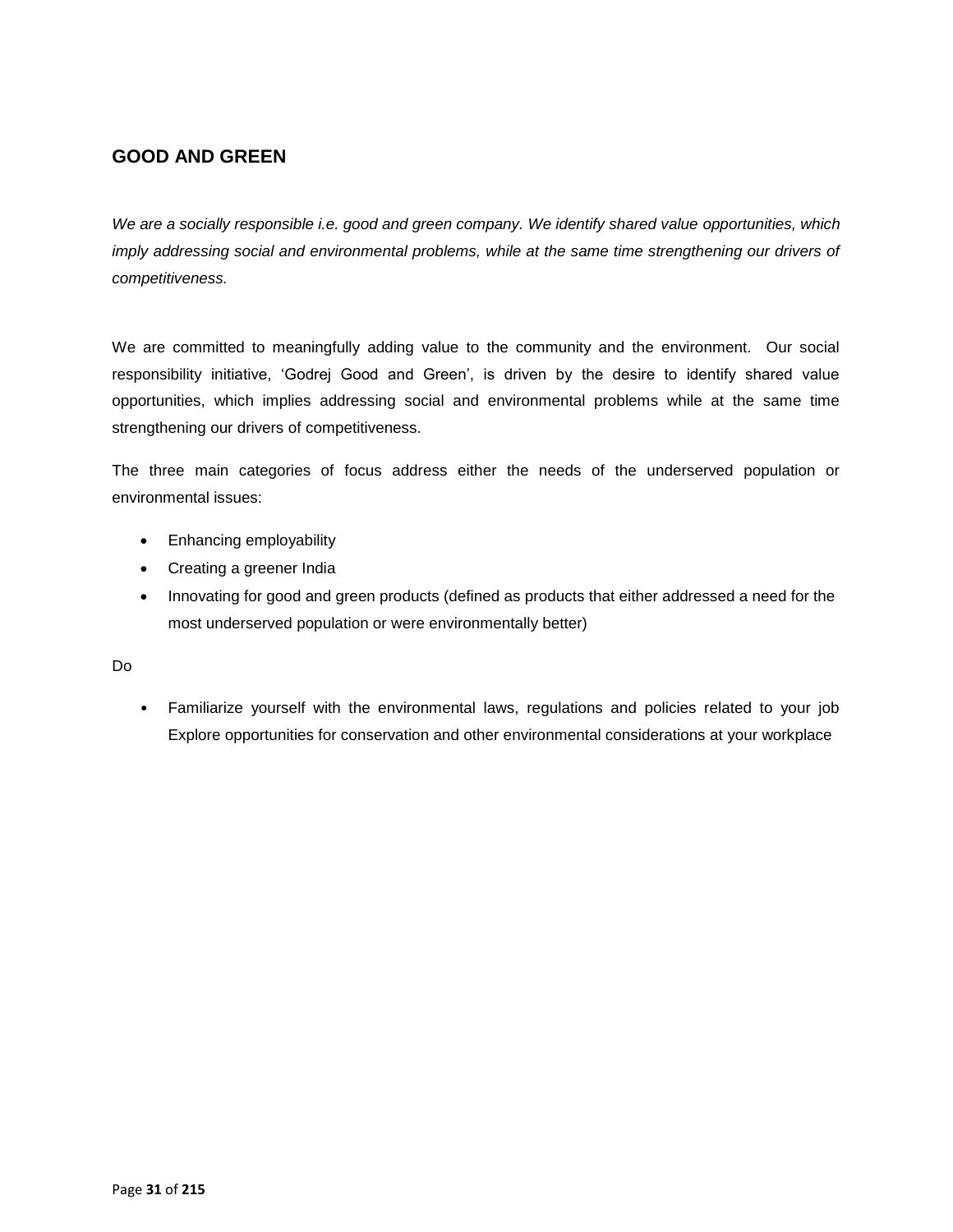# **GOOD AND GREEN**

*We are a socially responsible i.e. good and green company. We identify shared value opportunities, which imply addressing social and environmental problems, while at the same time strengthening our drivers of competitiveness.*

We are committed to meaningfully adding value to the community and the environment. Our social responsibility initiative, 'Godrej Good and Green', is driven by the desire to identify shared value opportunities, which implies addressing social and environmental problems while at the same time strengthening our drivers of competitiveness.

The three main categories of focus address either the needs of the underserved population or environmental issues:

- Enhancing employability
- Creating a greener India
- Innovating for good and green products (defined as products that either addressed a need for the most underserved population or were environmentally better)

Do

• Familiarize yourself with the environmental laws, regulations and policies related to your job Explore opportunities for conservation and other environmental considerations at your workplace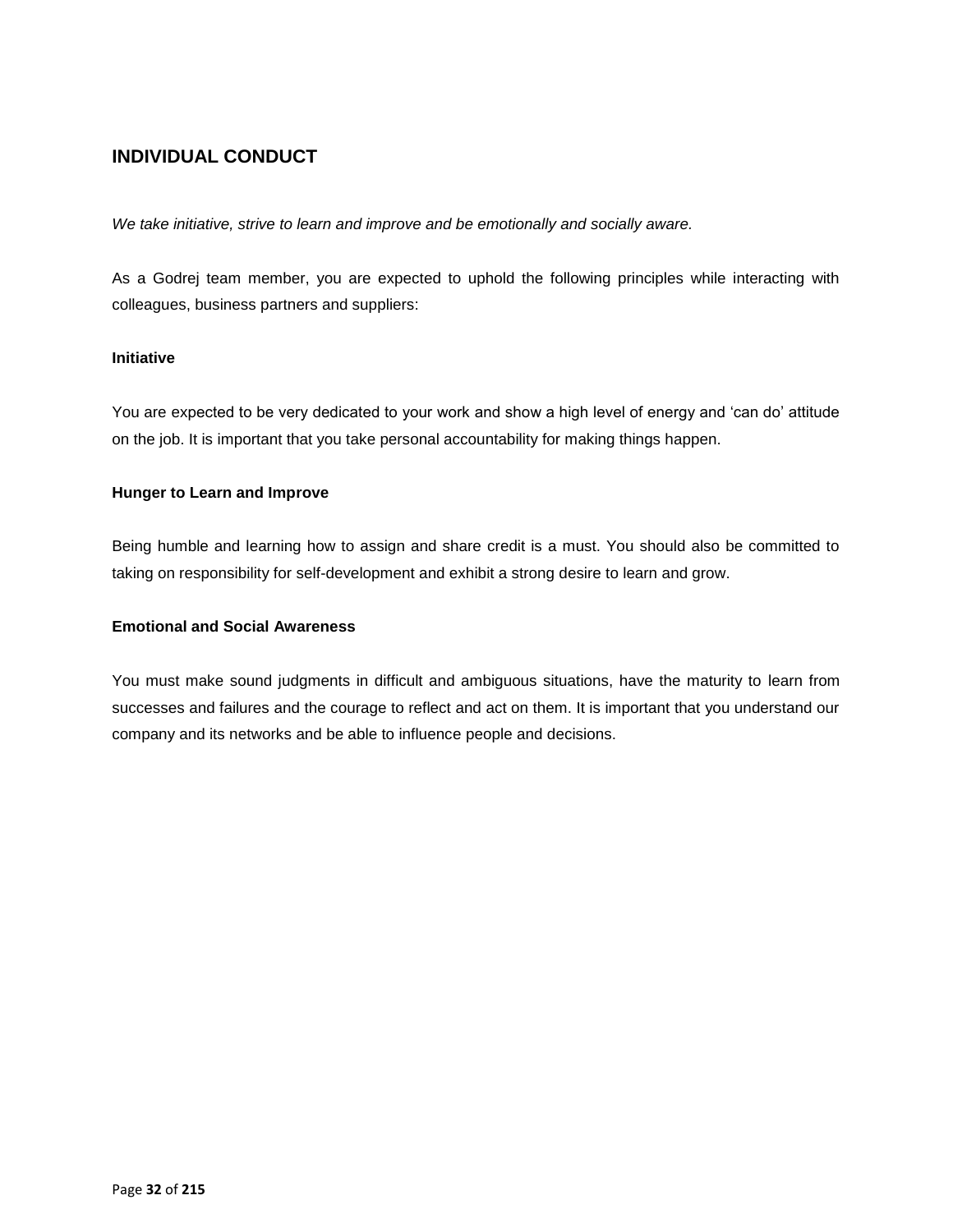# **INDIVIDUAL CONDUCT**

*We take initiative, strive to learn and improve and be emotionally and socially aware.*

As a Godrej team member, you are expected to uphold the following principles while interacting with colleagues, business partners and suppliers:

# **Initiative**

You are expected to be very dedicated to your work and show a high level of energy and 'can do' attitude on the job. It is important that you take personal accountability for making things happen.

### **Hunger to Learn and Improve**

Being humble and learning how to assign and share credit is a must. You should also be committed to taking on responsibility for self-development and exhibit a strong desire to learn and grow.

### **Emotional and Social Awareness**

You must make sound judgments in difficult and ambiguous situations, have the maturity to learn from successes and failures and the courage to reflect and act on them. It is important that you understand our company and its networks and be able to influence people and decisions.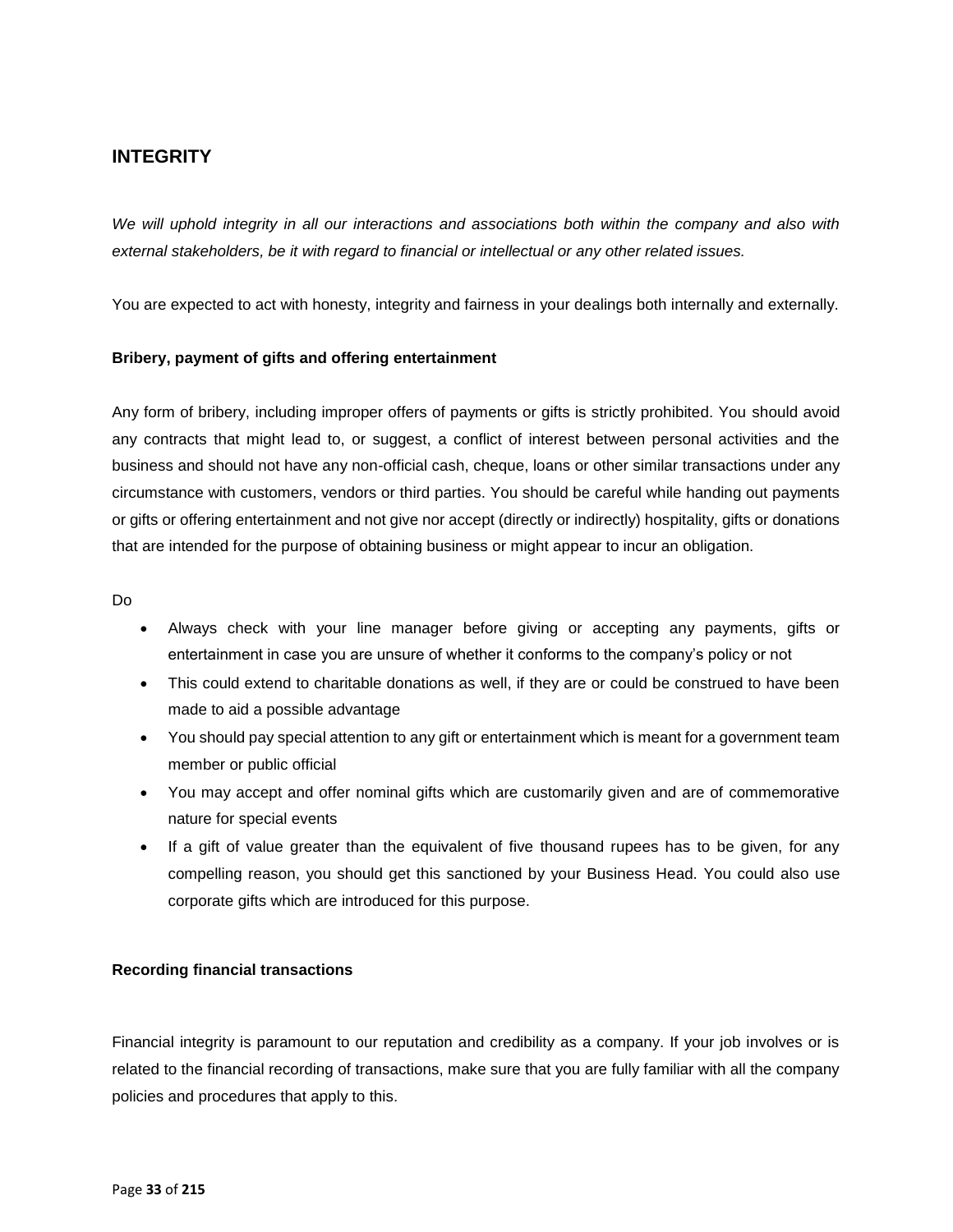# **INTEGRITY**

*We will uphold integrity in all our interactions and associations both within the company and also with external stakeholders, be it with regard to financial or intellectual or any other related issues.*

You are expected to act with honesty, integrity and fairness in your dealings both internally and externally.

### **Bribery, payment of gifts and offering entertainment**

Any form of bribery, including improper offers of payments or gifts is strictly prohibited. You should avoid any contracts that might lead to, or suggest, a conflict of interest between personal activities and the business and should not have any non-official cash, cheque, loans or other similar transactions under any circumstance with customers, vendors or third parties. You should be careful while handing out payments or gifts or offering entertainment and not give nor accept (directly or indirectly) hospitality, gifts or donations that are intended for the purpose of obtaining business or might appear to incur an obligation.

Do

- Always check with your line manager before giving or accepting any payments, gifts or entertainment in case you are unsure of whether it conforms to the company's policy or not
- This could extend to charitable donations as well, if they are or could be construed to have been made to aid a possible advantage
- You should pay special attention to any gift or entertainment which is meant for a government team member or public official
- You may accept and offer nominal gifts which are customarily given and are of commemorative nature for special events
- If a gift of value greater than the equivalent of five thousand rupees has to be given, for any compelling reason, you should get this sanctioned by your Business Head. You could also use corporate gifts which are introduced for this purpose.

## **Recording financial transactions**

Financial integrity is paramount to our reputation and credibility as a company. If your job involves or is related to the financial recording of transactions, make sure that you are fully familiar with all the company policies and procedures that apply to this.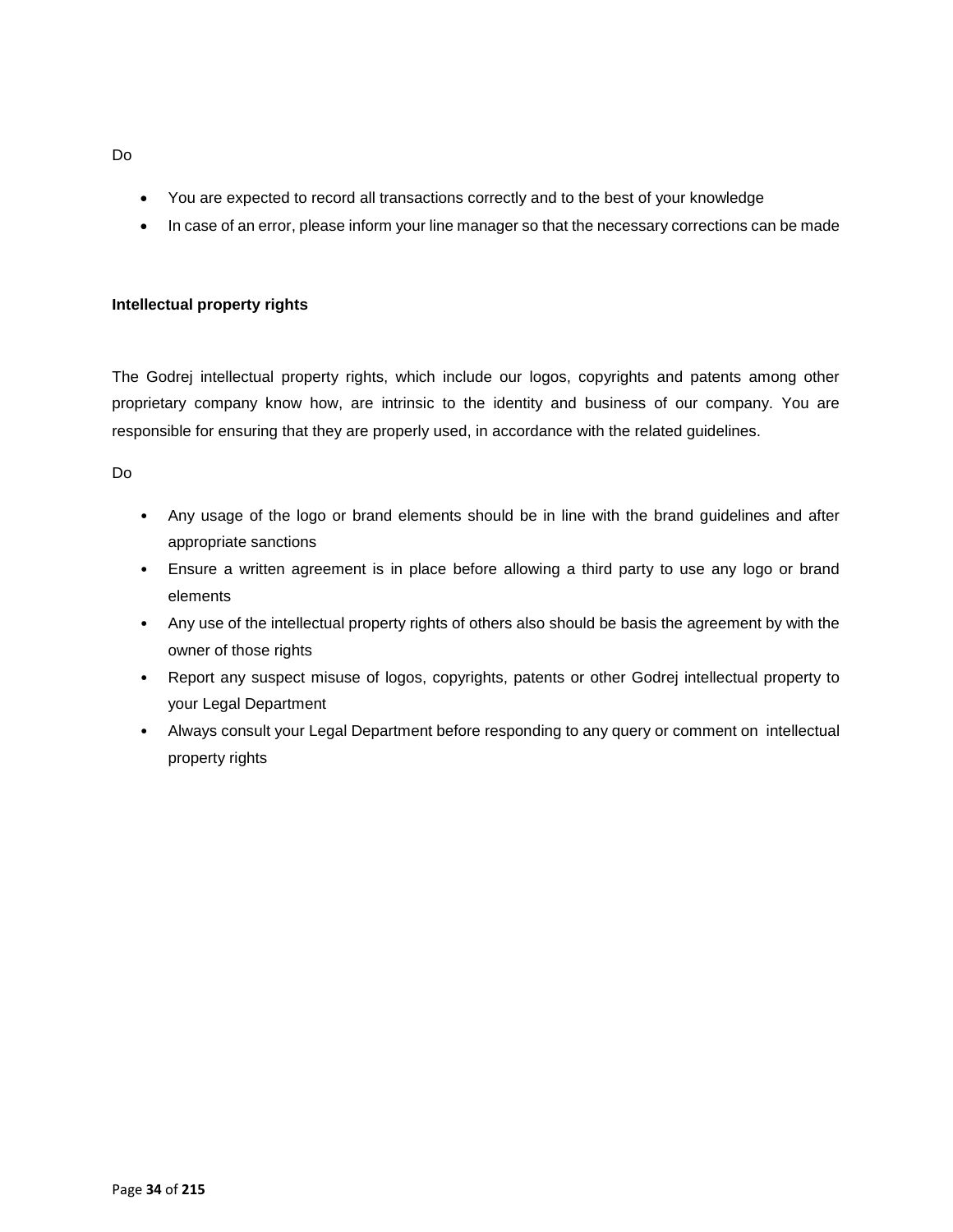- You are expected to record all transactions correctly and to the best of your knowledge
- In case of an error, please inform your line manager so that the necessary corrections can be made

### **Intellectual property rights**

The Godrej intellectual property rights, which include our logos, copyrights and patents among other proprietary company know how, are intrinsic to the identity and business of our company. You are responsible for ensuring that they are properly used, in accordance with the related guidelines.

### Do

- Any usage of the logo or brand elements should be in line with the brand guidelines and after appropriate sanctions
- Ensure a written agreement is in place before allowing a third party to use any logo or brand elements
- Any use of the intellectual property rights of others also should be basis the agreement by with the owner of those rights
- Report any suspect misuse of logos, copyrights, patents or other Godrej intellectual property to your Legal Department
- Always consult your Legal Department before responding to any query or comment on intellectual property rights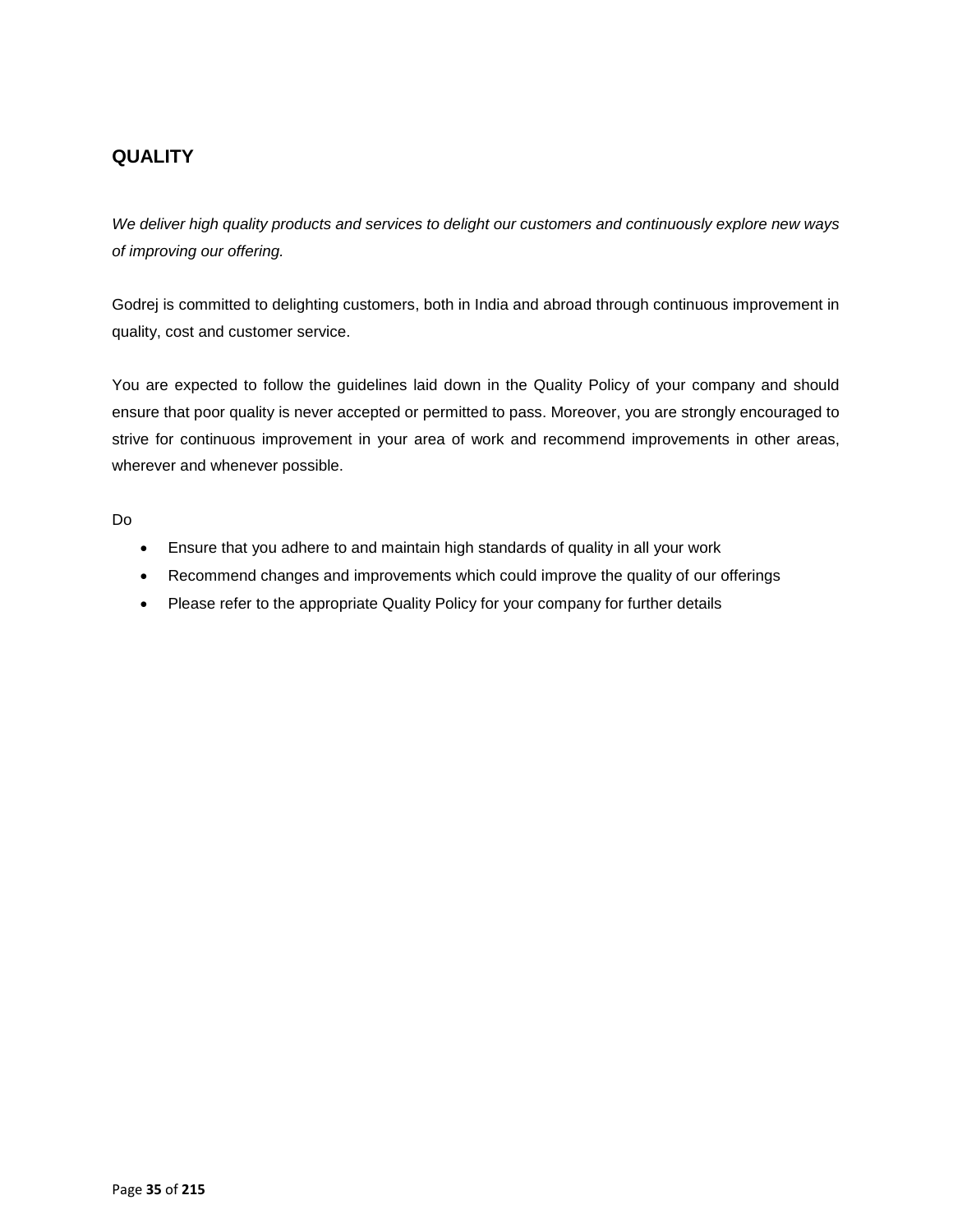# **QUALITY**

*We deliver high quality products and services to delight our customers and continuously explore new ways of improving our offering.* 

Godrej is committed to delighting customers, both in India and abroad through continuous improvement in quality, cost and customer service.

You are expected to follow the guidelines laid down in the Quality Policy of your company and should ensure that poor quality is never accepted or permitted to pass. Moreover, you are strongly encouraged to strive for continuous improvement in your area of work and recommend improvements in other areas, wherever and whenever possible.

- Ensure that you adhere to and maintain high standards of quality in all your work
- Recommend changes and improvements which could improve the quality of our offerings
- Please refer to the appropriate Quality Policy for your company for further details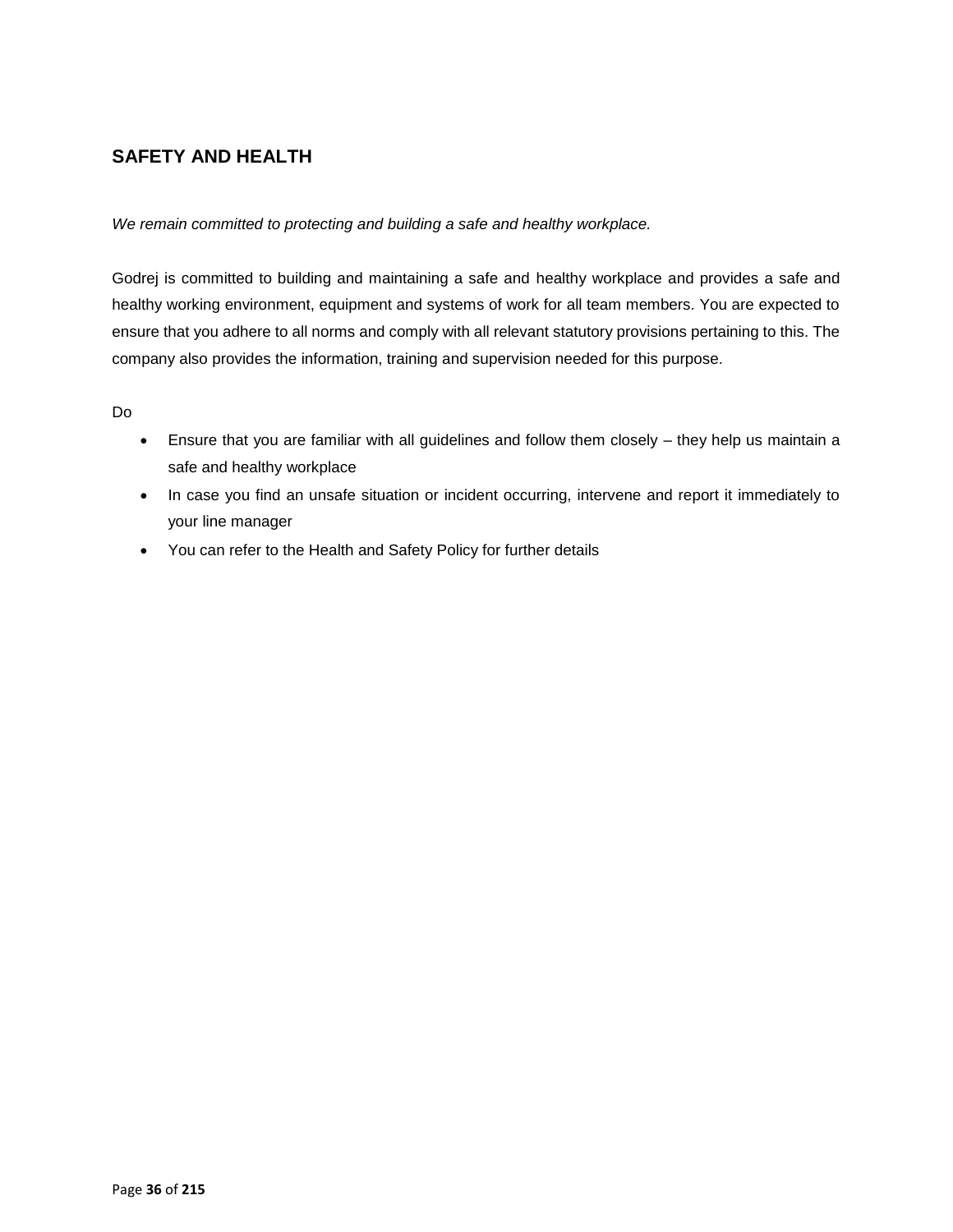# **SAFETY AND HEALTH**

*We remain committed to protecting and building a safe and healthy workplace.* 

Godrej is committed to building and maintaining a safe and healthy workplace and provides a safe and healthy working environment, equipment and systems of work for all team members. You are expected to ensure that you adhere to all norms and comply with all relevant statutory provisions pertaining to this. The company also provides the information, training and supervision needed for this purpose.

- Ensure that you are familiar with all guidelines and follow them closely they help us maintain a safe and healthy workplace
- In case you find an unsafe situation or incident occurring, intervene and report it immediately to your line manager
- You can refer to the Health and Safety Policy for further details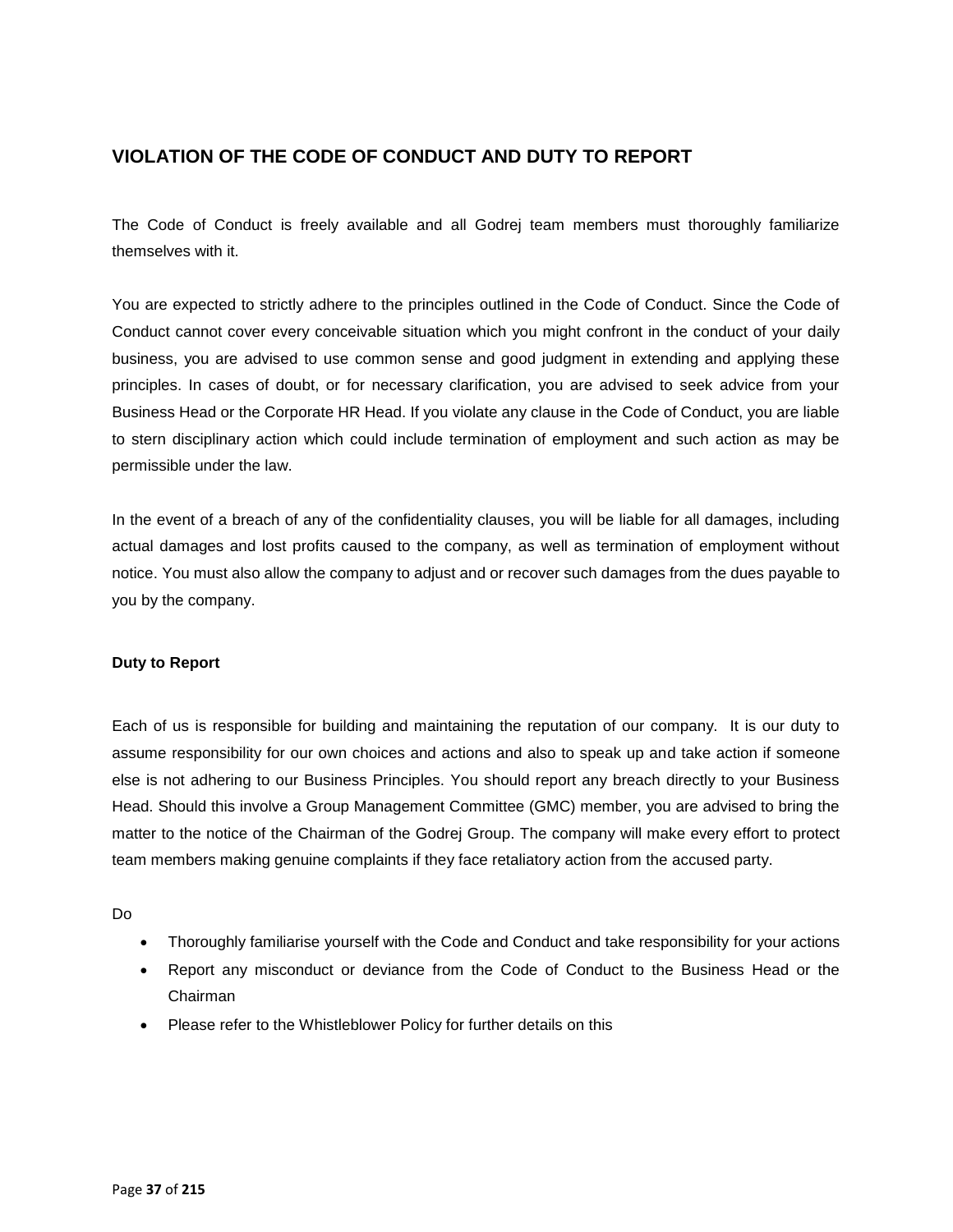# **VIOLATION OF THE CODE OF CONDUCT AND DUTY TO REPORT**

The Code of Conduct is freely available and all Godrej team members must thoroughly familiarize themselves with it.

You are expected to strictly adhere to the principles outlined in the Code of Conduct. Since the Code of Conduct cannot cover every conceivable situation which you might confront in the conduct of your daily business, you are advised to use common sense and good judgment in extending and applying these principles. In cases of doubt, or for necessary clarification, you are advised to seek advice from your Business Head or the Corporate HR Head. If you violate any clause in the Code of Conduct, you are liable to stern disciplinary action which could include termination of employment and such action as may be permissible under the law.

In the event of a breach of any of the confidentiality clauses, you will be liable for all damages, including actual damages and lost profits caused to the company, as well as termination of employment without notice. You must also allow the company to adjust and or recover such damages from the dues payable to you by the company.

### **Duty to Report**

Each of us is responsible for building and maintaining the reputation of our company. It is our duty to assume responsibility for our own choices and actions and also to speak up and take action if someone else is not adhering to our Business Principles. You should report any breach directly to your Business Head. Should this involve a Group Management Committee (GMC) member, you are advised to bring the matter to the notice of the Chairman of the Godrej Group. The company will make every effort to protect team members making genuine complaints if they face retaliatory action from the accused party.

- Thoroughly familiarise yourself with the Code and Conduct and take responsibility for your actions
- Report any misconduct or deviance from the Code of Conduct to the Business Head or the Chairman
- Please refer to the Whistleblower Policy for further details on this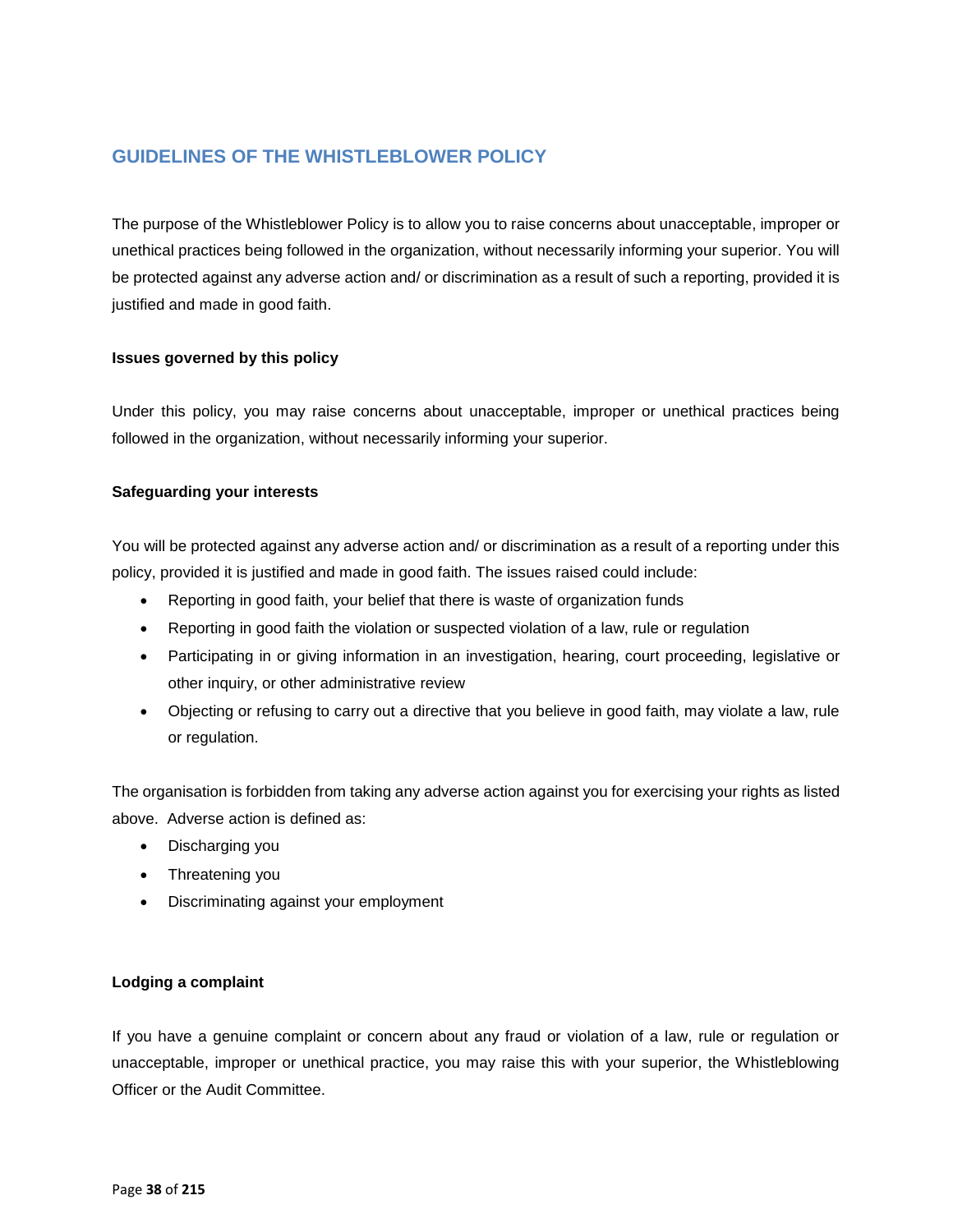# **GUIDELINES OF THE WHISTLEBLOWER POLICY**

The purpose of the Whistleblower Policy is to allow you to raise concerns about unacceptable, improper or unethical practices being followed in the organization, without necessarily informing your superior. You will be protected against any adverse action and/ or discrimination as a result of such a reporting, provided it is justified and made in good faith.

### **Issues governed by this policy**

Under this policy, you may raise concerns about unacceptable, improper or unethical practices being followed in the organization, without necessarily informing your superior.

### **Safeguarding your interests**

You will be protected against any adverse action and/ or discrimination as a result of a reporting under this policy, provided it is justified and made in good faith. The issues raised could include:

- Reporting in good faith, your belief that there is waste of organization funds
- Reporting in good faith the violation or suspected violation of a law, rule or regulation
- Participating in or giving information in an investigation, hearing, court proceeding, legislative or other inquiry, or other administrative review
- Objecting or refusing to carry out a directive that you believe in good faith, may violate a law, rule or regulation.

The organisation is forbidden from taking any adverse action against you for exercising your rights as listed above. Adverse action is defined as:

- Discharging you
- Threatening you
- Discriminating against your employment

### **Lodging a complaint**

If you have a genuine complaint or concern about any fraud or violation of a law, rule or regulation or unacceptable, improper or unethical practice, you may raise this with your superior, the Whistleblowing Officer or the Audit Committee.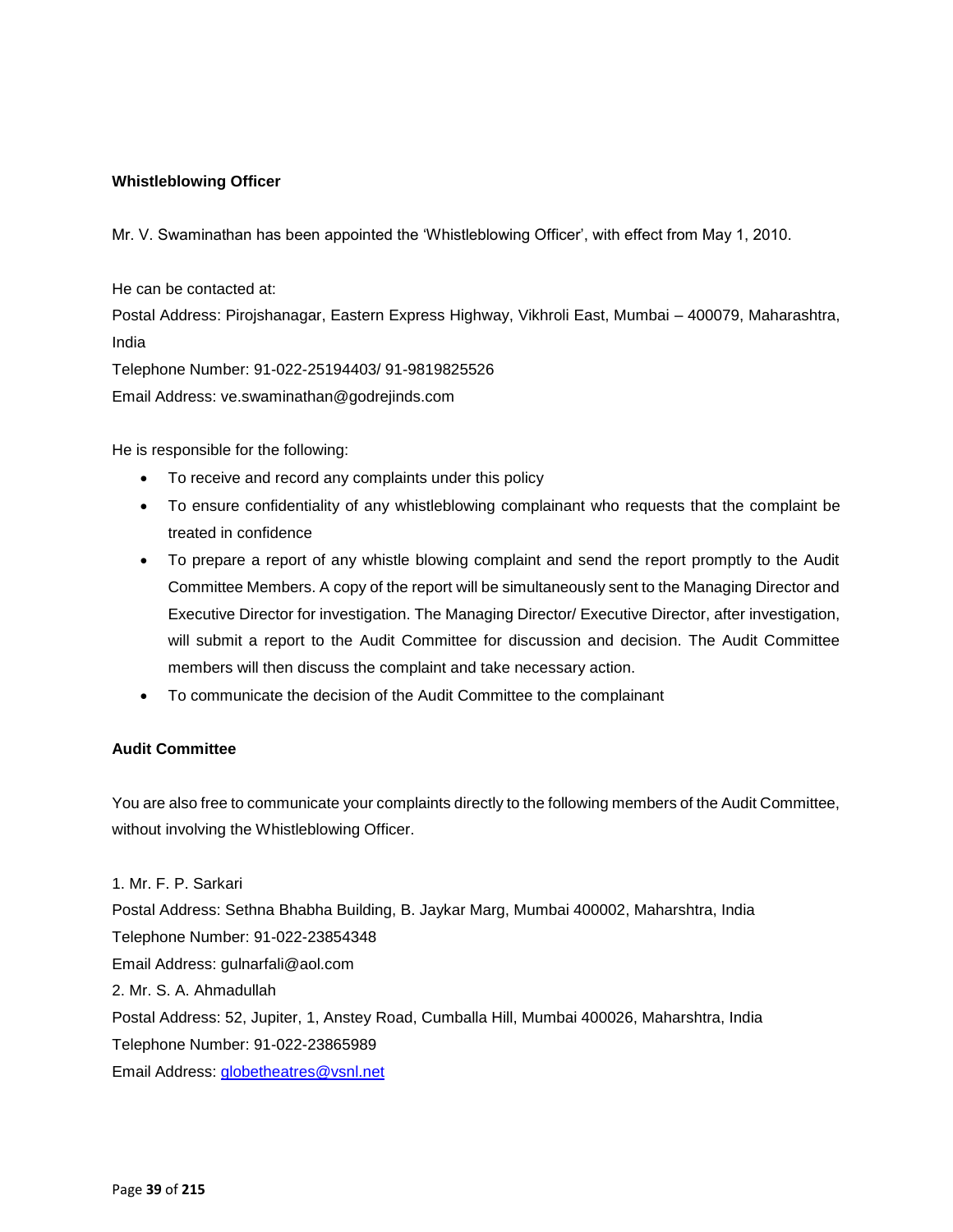## **Whistleblowing Officer**

Mr. V. Swaminathan has been appointed the 'Whistleblowing Officer', with effect from May 1, 2010.

He can be contacted at:

Postal Address: Pirojshanagar, Eastern Express Highway, Vikhroli East, Mumbai – 400079, Maharashtra, India

Telephone Number: 91-022-25194403/ 91-9819825526

Email Address: ve.swaminathan@godrejinds.com

He is responsible for the following:

- To receive and record any complaints under this policy
- To ensure confidentiality of any whistleblowing complainant who requests that the complaint be treated in confidence
- To prepare a report of any whistle blowing complaint and send the report promptly to the Audit Committee Members. A copy of the report will be simultaneously sent to the Managing Director and Executive Director for investigation. The Managing Director/ Executive Director, after investigation, will submit a report to the Audit Committee for discussion and decision. The Audit Committee members will then discuss the complaint and take necessary action.
- To communicate the decision of the Audit Committee to the complainant

## **Audit Committee**

You are also free to communicate your complaints directly to the following members of the Audit Committee, without involving the Whistleblowing Officer.

1. Mr. F. P. Sarkari

Postal Address: Sethna Bhabha Building, B. Jaykar Marg, Mumbai 400002, Maharshtra, India Telephone Number: 91-022-23854348 Email Address: [gulnarfali@aol.com](mailto:gulnarfali@aol.com) 2. Mr. S. A. Ahmadullah Postal Address: 52, Jupiter, 1, Anstey Road, Cumballa Hill, Mumbai 400026, Maharshtra, India Telephone Number: 91-022-23865989 Email Address: [globetheatres@vsnl.net](mailto:globetheatres@vsnl.net)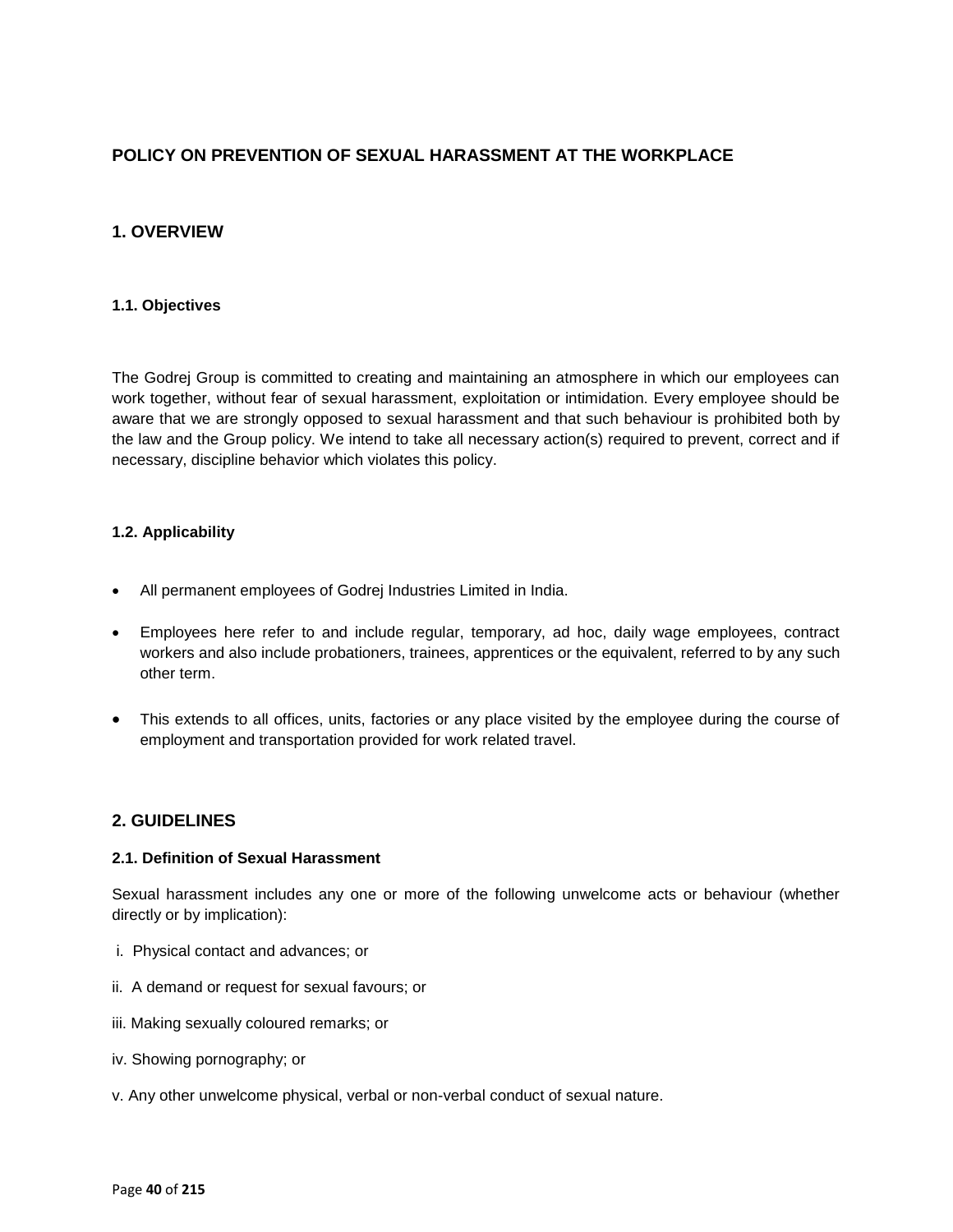# **POLICY ON PREVENTION OF SEXUAL HARASSMENT AT THE WORKPLACE**

# **1. OVERVIEW**

### **1.1. Objectives**

The Godrej Group is committed to creating and maintaining an atmosphere in which our employees can work together, without fear of sexual harassment, exploitation or intimidation. Every employee should be aware that we are strongly opposed to sexual harassment and that such behaviour is prohibited both by the law and the Group policy. We intend to take all necessary action(s) required to prevent, correct and if necessary, discipline behavior which violates this policy.

### **1.2. Applicability**

- All permanent employees of Godrej Industries Limited in India.
- Employees here refer to and include regular, temporary, ad hoc, daily wage employees, contract workers and also include probationers, trainees, apprentices or the equivalent, referred to by any such other term.
- This extends to all offices, units, factories or any place visited by the employee during the course of employment and transportation provided for work related travel.

## **2. GUIDELINES**

### **2.1. Definition of Sexual Harassment**

Sexual harassment includes any one or more of the following unwelcome acts or behaviour (whether directly or by implication):

- i. Physical contact and advances; or
- ii. A demand or request for sexual favours; or
- iii. Making sexually coloured remarks; or
- iv. Showing pornography; or
- v. Any other unwelcome physical, verbal or non-verbal conduct of sexual nature.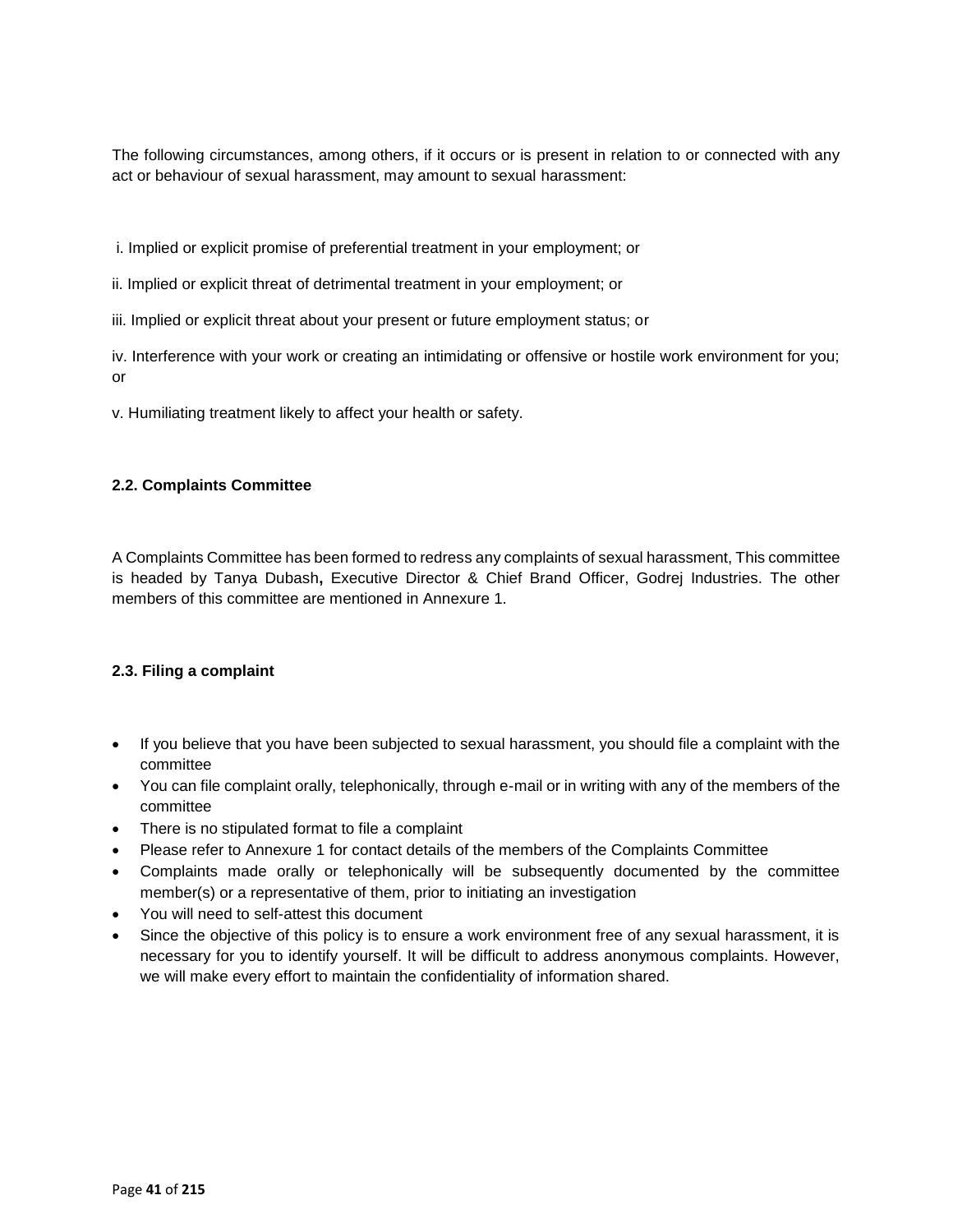The following circumstances, among others, if it occurs or is present in relation to or connected with any act or behaviour of sexual harassment, may amount to sexual harassment:

i. Implied or explicit promise of preferential treatment in your employment; or

ii. Implied or explicit threat of detrimental treatment in your employment; or

iii. Implied or explicit threat about your present or future employment status; or

iv. Interference with your work or creating an intimidating or offensive or hostile work environment for you; or

v. Humiliating treatment likely to affect your health or safety.

## **2.2. Complaints Committee**

A Complaints Committee has been formed to redress any complaints of sexual harassment, This committee is headed by Tanya Dubash**,** Executive Director & Chief Brand Officer, Godrej Industries. The other members of this committee are mentioned in Annexure 1.

### **2.3. Filing a complaint**

- If you believe that you have been subjected to sexual harassment, you should file a complaint with the committee
- You can file complaint orally, telephonically, through e-mail or in writing with any of the members of the committee
- There is no stipulated format to file a complaint
- Please refer to Annexure 1 for contact details of the members of the Complaints Committee
- Complaints made orally or telephonically will be subsequently documented by the committee member(s) or a representative of them, prior to initiating an investigation
- You will need to self-attest this document
- Since the objective of this policy is to ensure a work environment free of any sexual harassment, it is necessary for you to identify yourself. It will be difficult to address anonymous complaints. However, we will make every effort to maintain the confidentiality of information shared.